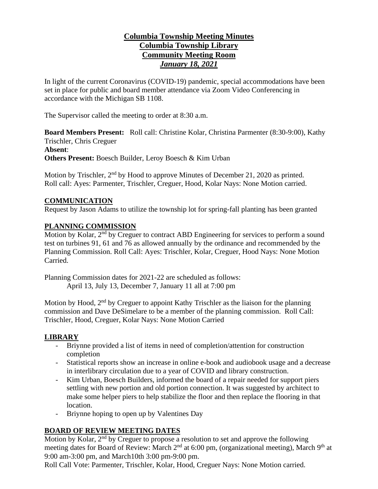# **Columbia Township Meeting Minutes Columbia Township Library Community Meeting Room** *January 18, 2021*

In light of the current Coronavirus (COVID-19) pandemic, special accommodations have been set in place for public and board member attendance via Zoom Video Conferencing in accordance with the Michigan SB 1108.

The Supervisor called the meeting to order at 8:30 a.m.

**Board Members Present:** Roll call: Christine Kolar, Christina Parmenter (8:30-9:00), Kathy Trischler, Chris Creguer **Absent**: **Others Present:** Boesch Builder, Leroy Boesch & Kim Urban

Motion by Trischler, 2<sup>nd</sup> by Hood to approve Minutes of December 21, 2020 as printed. Roll call: Ayes: Parmenter, Trischler, Creguer, Hood, Kolar Nays: None Motion carried.

### **COMMUNICATION**

Request by Jason Adams to utilize the township lot for spring-fall planting has been granted

### **PLANNING COMMISSION**

Motion by Kolar, 2<sup>nd</sup> by Creguer to contract ABD Engineering for services to perform a sound test on turbines 91, 61 and 76 as allowed annually by the ordinance and recommended by the Planning Commission. Roll Call: Ayes: Trischler, Kolar, Creguer, Hood Nays: None Motion Carried.

Planning Commission dates for 2021-22 are scheduled as follows: April 13, July 13, December 7, January 11 all at 7:00 pm

Motion by Hood, 2<sup>nd</sup> by Creguer to appoint Kathy Trischler as the liaison for the planning commission and Dave DeSimelare to be a member of the planning commission. Roll Call: Trischler, Hood, Creguer, Kolar Nays: None Motion Carried

### **LIBRARY**

- Briynne provided a list of items in need of completion/attention for construction completion
- Statistical reports show an increase in online e-book and audiobook usage and a decrease in interlibrary circulation due to a year of COVID and library construction.
- Kim Urban, Boesch Builders, informed the board of a repair needed for support piers settling with new portion and old portion connection. It was suggested by architect to make some helper piers to help stabilize the floor and then replace the flooring in that location.
- Briynne hoping to open up by Valentines Day

## **BOARD OF REVIEW MEETING DATES**

Motion by Kolar, 2<sup>nd</sup> by Creguer to propose a resolution to set and approve the following meeting dates for Board of Review: March 2<sup>nd</sup> at 6:00 pm, (organizational meeting), March 9<sup>th</sup> at 9:00 am-3:00 pm, and March10th 3:00 pm-9:00 pm.

Roll Call Vote: Parmenter, Trischler, Kolar, Hood, Creguer Nays: None Motion carried.